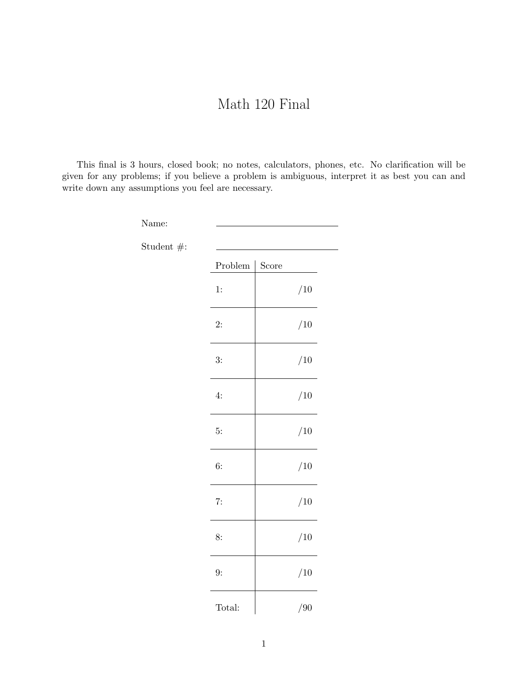## Math 120 Final

This final is 3 hours, closed book; no notes, calculators, phones, etc. No clarification will be given for any problems; if you believe a problem is ambiguous, interpret it as best you can and write down any assumptions you feel are necessary.

| Name:                      |                 |       |
|----------------------------|-----------------|-------|
| Student $\# \mathpunct{:}$ |                 |       |
|                            | ${\bf Problem}$ | Score |
|                            | 1:              | /10   |
|                            | 2:              | /10   |
|                            | 3:              | /10   |
|                            | 4:              | /10   |
|                            | 5:              | /10   |
|                            | 6:              | /10   |
|                            | 7:              | /10   |
|                            | 8:              | /10   |
|                            | 9:              | /10   |
|                            | Total:          | /90   |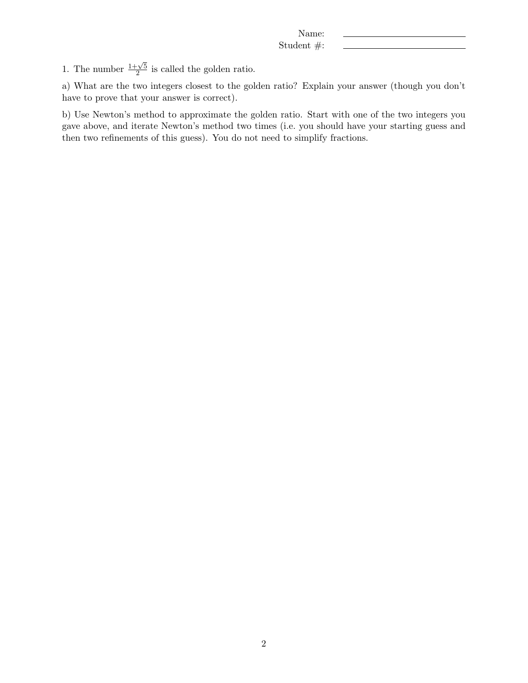1. The number  $\frac{1+\sqrt{5}}{2}$  $\frac{1}{2}$  is called the golden ratio.

a) What are the two integers closest to the golden ratio? Explain your answer (though you don't have to prove that your answer is correct).

b) Use Newton's method to approximate the golden ratio. Start with one of the two integers you gave above, and iterate Newton's method two times (i.e. you should have your starting guess and then two refinements of this guess). You do not need to simplify fractions.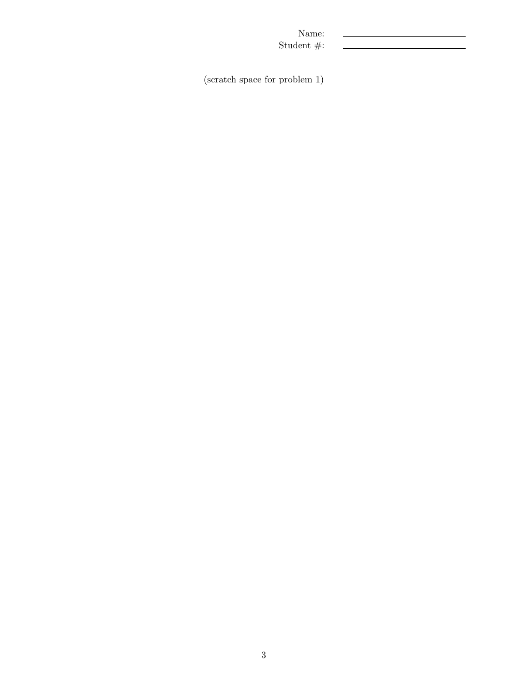(scratch space for problem 1)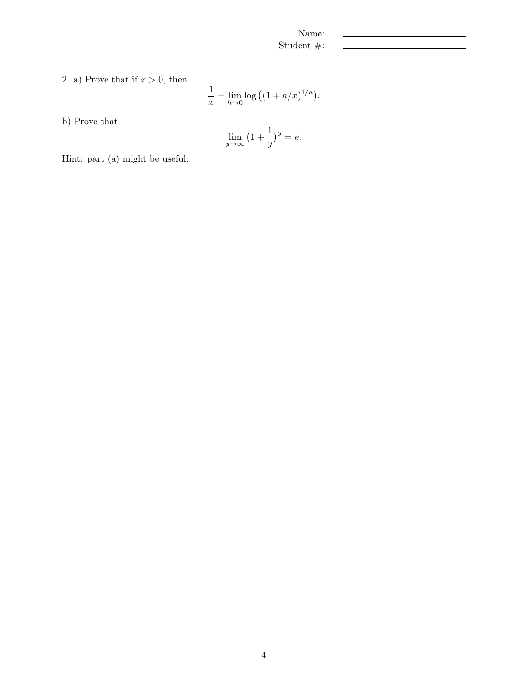2. a) Prove that if  $x > 0$ , then

$$
\frac{1}{x} = \lim_{h \to 0} \log ((1 + h/x)^{1/h}).
$$

b) Prove that

$$
\lim_{y \to \infty} \left( 1 + \frac{1}{y} \right)^y = e.
$$

Hint: part (a) might be useful.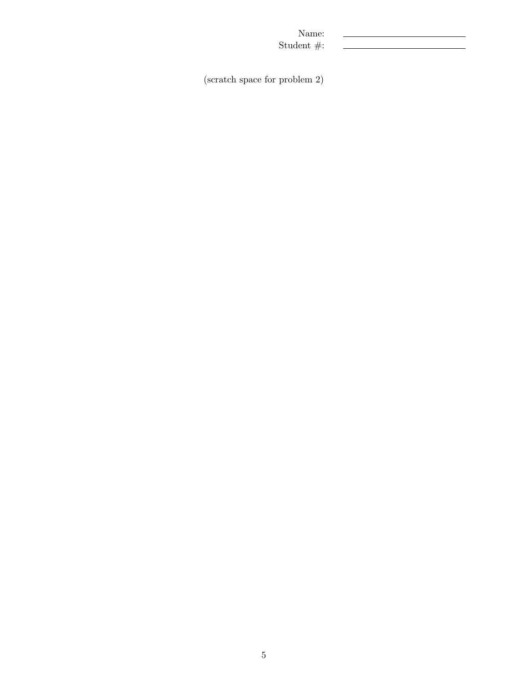(scratch space for problem 2)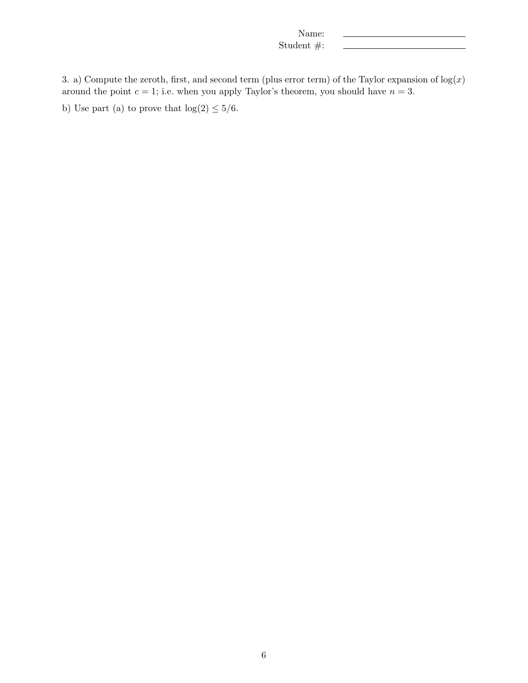3. a) Compute the zeroth, first, and second term (plus error term) of the Taylor expansion of  $log(x)$ around the point  $c = 1$ ; i.e. when you apply Taylor's theorem, you should have  $n = 3$ .

b) Use part (a) to prove that  $\log(2) \leq 5/6$ .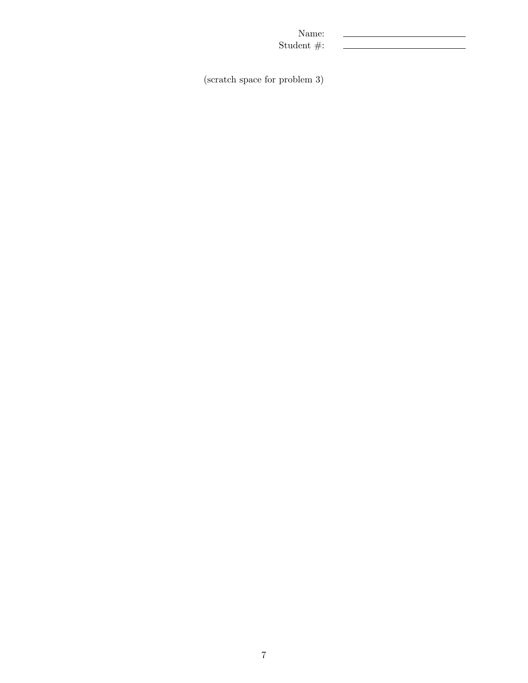(scratch space for problem 3)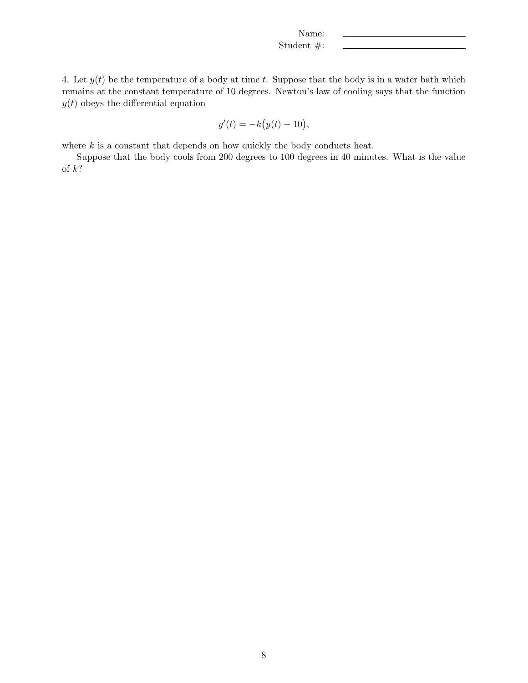4. Let  $y(t)$  be the temperature of a body at time t. Suppose that the body is in a water bath which remains at the constant temperature of 10 degrees. Newton's law of cooling says that the function  $y(t)$  obeys the differential equation

$$
y'(t) = -k(y(t) - 10),
$$

where  $k$  is a constant that depends on how quickly the body conducts heat.

Suppose that the body cools from 200 degrees to 100 degrees in 40 minutes. What is the value of  $k$ ?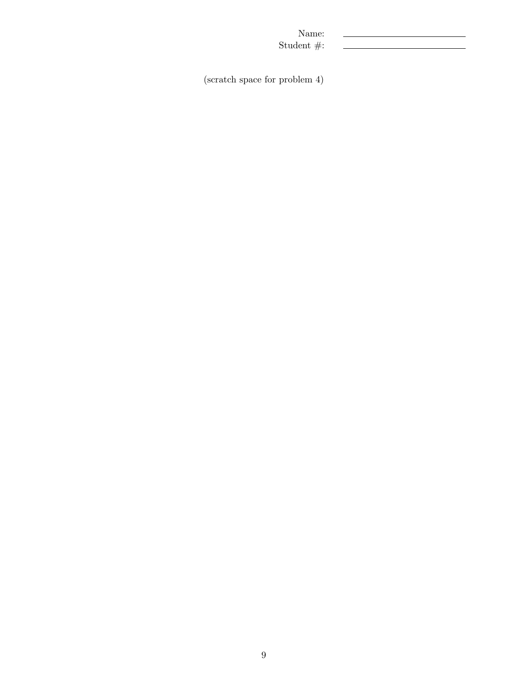(scratch space for problem 4)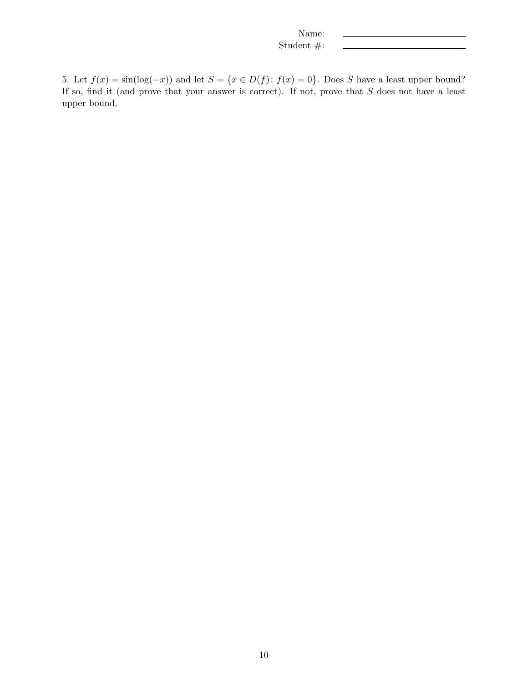5. Let  $f(x) = \sin(\log(-x))$  and let  $S = \{x \in D(f) : f(x) = 0\}$ . Does S have a least upper bound? If so, find it (and prove that your answer is correct). If not, prove that S does not have a least upper bound.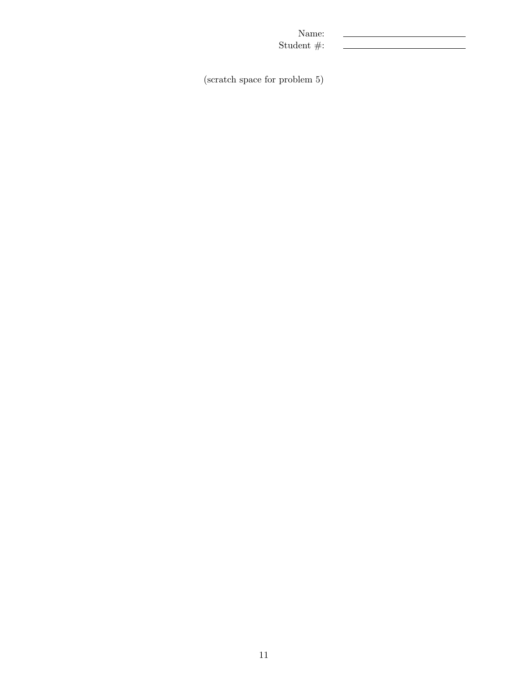(scratch space for problem 5)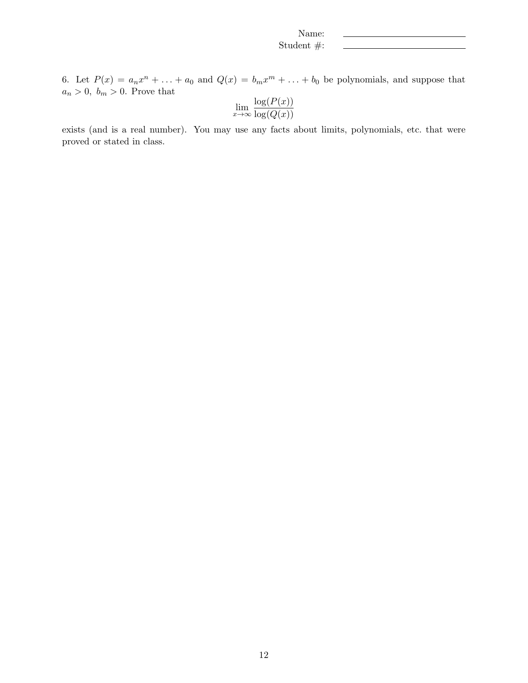6. Let  $P(x) = a_n x^n + \ldots + a_0$  and  $Q(x) = b_m x^m + \ldots + b_0$  be polynomials, and suppose that  $a_n > 0, b_m > 0$ . Prove that

$$
\lim_{x \to \infty} \frac{\log(P(x))}{\log(Q(x))}
$$

exists (and is a real number). You may use any facts about limits, polynomials, etc. that were proved or stated in class.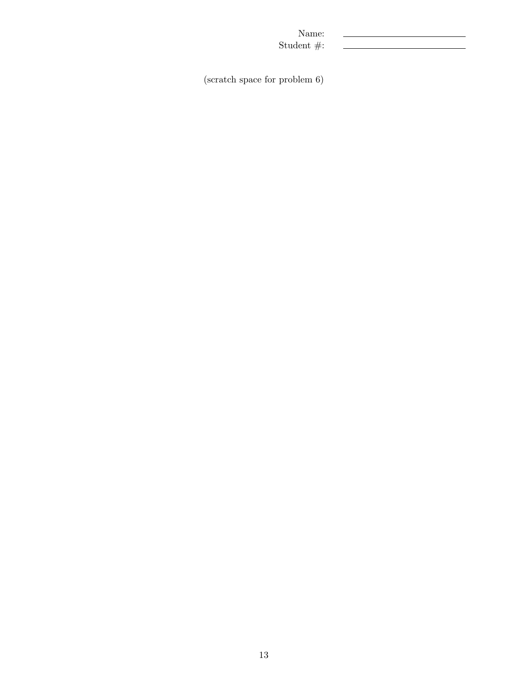(scratch space for problem 6)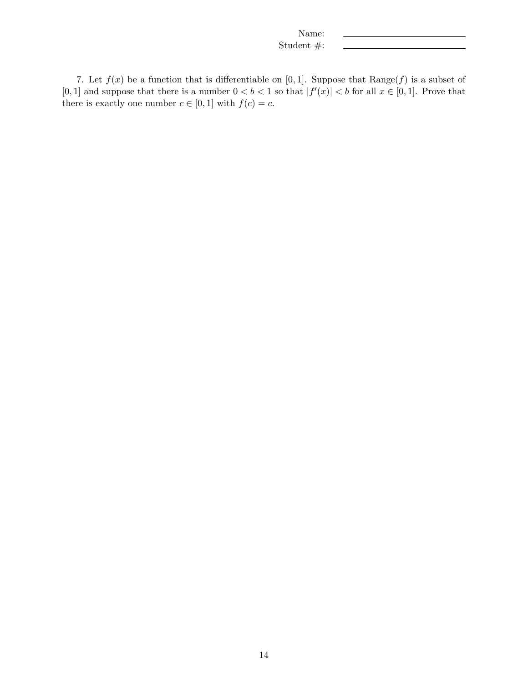7. Let  $f(x)$  be a function that is differentiable on [0,1]. Suppose that  $Range(f)$  is a subset of [0, 1] and suppose that there is a number  $0 < b < 1$  so that  $|f'(x)| < b$  for all  $x \in [0, 1]$ . Prove that there is exactly one number  $c \in [0,1]$  with  $f(c) = c$ .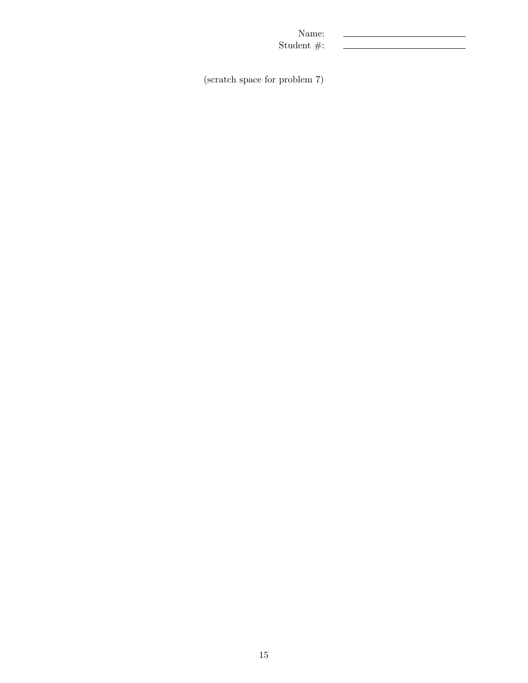(scratch space for problem 7)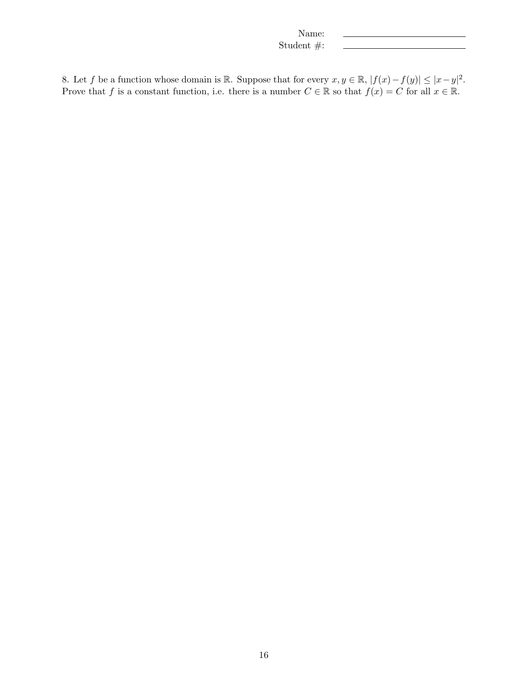8. Let f be a function whose domain is R. Suppose that for every  $x, y \in \mathbb{R}$ ,  $|f(x) - f(y)| \le |x - y|^2$ . Prove that f is a constant function, i.e. there is a number  $C \in \mathbb{R}$  so that  $f(x) = C$  for all  $x \in \mathbb{R}$ .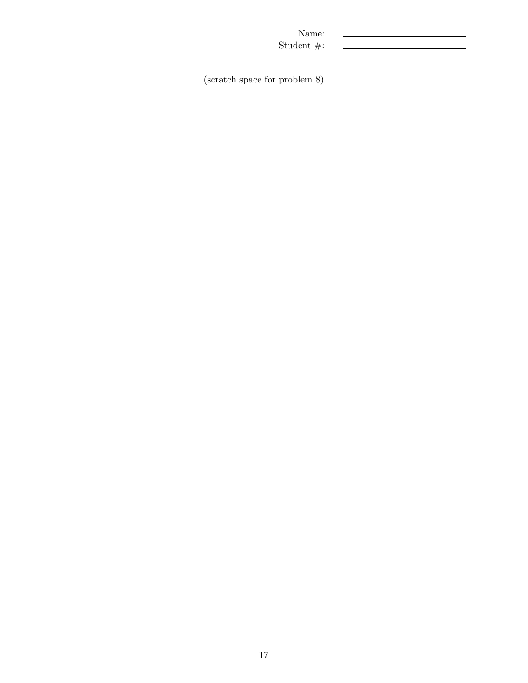(scratch space for problem 8)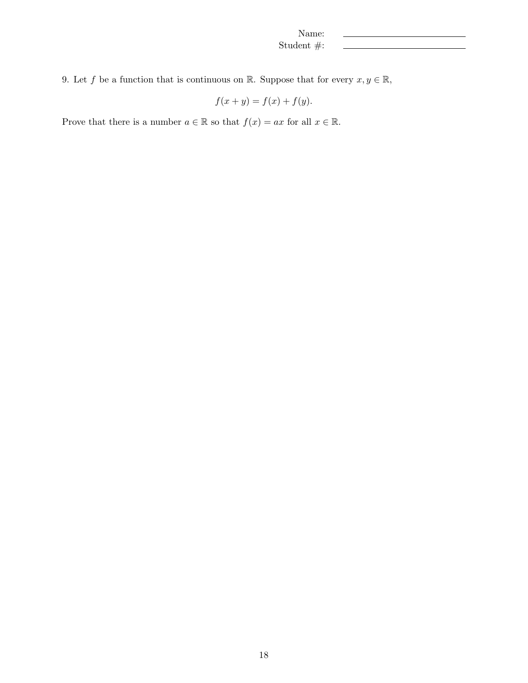9. Let f be a function that is continuous on R. Suppose that for every  $x, y \in \mathbb{R}$ ,

$$
f(x + y) = f(x) + f(y).
$$

Prove that there is a number  $a \in \mathbb{R}$  so that  $f(x) = ax$  for all  $x \in \mathbb{R}$ .